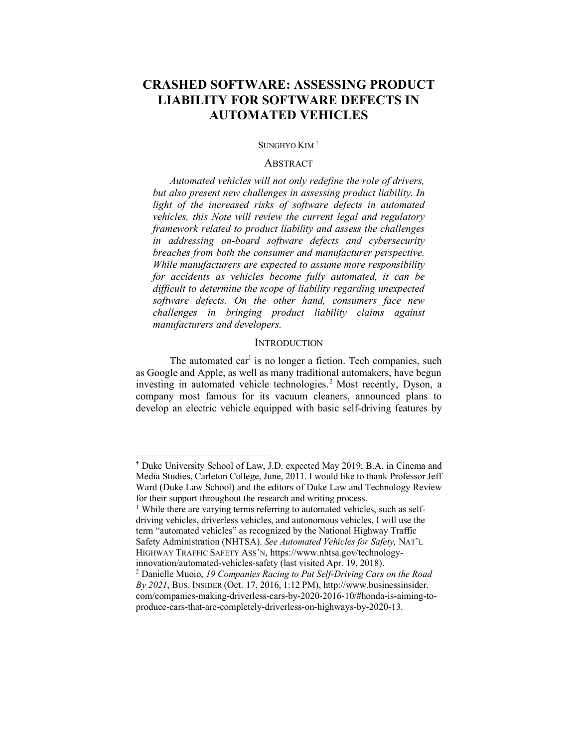#### SUNGHYO KIM †

## **ABSTRACT**

*Automated vehicles will not only redefine the role of drivers, but also present new challenges in assessing product liability. In light of the increased risks of software defects in automated vehicles, this Note will review the current legal and regulatory framework related to product liability and assess the challenges in addressing on-board software defects and cybersecurity breaches from both the consumer and manufacturer perspective. While manufacturers are expected to assume more responsibility for accidents as vehicles become fully automated, it can be difficult to determine the scope of liability regarding unexpected software defects. On the other hand, consumers face new challenges in bringing product liability claims against manufacturers and developers.* 

#### **INTRODUCTION**

The automated car<sup>1</sup> is no longer a fiction. Tech companies, such as Google and Apple, as well as many traditional automakers, have begun investing in automated vehicle technologies.<sup>2</sup> Most recently, Dyson, a company most famous for its vacuum cleaners, announced plans to develop an electric vehicle equipped with basic self-driving features by

 <sup>†</sup> Duke University School of Law, J.D. expected May 2019; B.A. in Cinema and Media Studies, Carleton College, June, 2011. I would like to thank Professor Jeff Ward (Duke Law School) and the editors of Duke Law and Technology Review for their support throughout the research and writing process.

<sup>&</sup>lt;sup>1</sup> While there are varying terms referring to automated vehicles, such as selfdriving vehicles, driverless vehicles, and autonomous vehicles, I will use the term "automated vehicles" as recognized by the National Highway Traffic Safety Administration (NHTSA). *See Automated Vehicles for Safety,* NAT'L HIGHWAY TRAFFIC SAFETY ASS'N, https://www.nhtsa.gov/technologyinnovation/automated-vehicles-safety (last visited Apr. 19, 2018).

<sup>2</sup> Danielle Muoio, *19 Companies Racing to Put Self-Driving Cars on the Road By 2021*, BUS. INSIDER (Oct. 17, 2016, 1:12 PM), http://www.businessinsider. com/companies-making-driverless-cars-by-2020-2016-10/#honda-is-aiming-toproduce-cars-that-are-completely-driverless-on-highways-by-2020-13.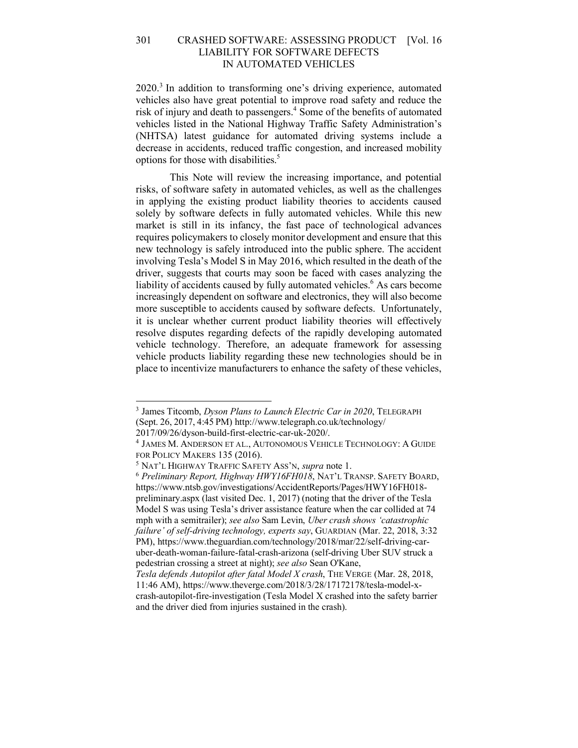2020.<sup>3</sup> In addition to transforming one's driving experience, automated vehicles also have great potential to improve road safety and reduce the risk of injury and death to passengers. <sup>4</sup> Some of the benefits of automated vehicles listed in the National Highway Traffic Safety Administration's (NHTSA) latest guidance for automated driving systems include a decrease in accidents, reduced traffic congestion, and increased mobility options for those with disabilities.<sup>5</sup>

This Note will review the increasing importance, and potential risks, of software safety in automated vehicles, as well as the challenges in applying the existing product liability theories to accidents caused solely by software defects in fully automated vehicles. While this new market is still in its infancy, the fast pace of technological advances requires policymakers to closely monitor development and ensure that this new technology is safely introduced into the public sphere. The accident involving Tesla's Model S in May 2016, which resulted in the death of the driver, suggests that courts may soon be faced with cases analyzing the liability of accidents caused by fully automated vehicles. <sup>6</sup> As cars become increasingly dependent on software and electronics, they will also become more susceptible to accidents caused by software defects. Unfortunately, it is unclear whether current product liability theories will effectively resolve disputes regarding defects of the rapidly developing automated vehicle technology. Therefore, an adequate framework for assessing vehicle products liability regarding these new technologies should be in place to incentivize manufacturers to enhance the safety of these vehicles,

 <sup>3</sup> James Titcomb, *Dyson Plans to Launch Electric Car in 2020*, TELEGRAPH (Sept. 26, 2017, 4:45 PM) http://www.telegraph.co.uk/technology/

<sup>2017/09/26/</sup>dyson-build-first-electric-car-uk-2020/. 4 JAMES M. ANDERSON ET AL., AUTONOMOUS VEHICLE TECHNOLOGY: <sup>A</sup> GUIDE FOR POLICY MAKERS 135 (2016). 5 NAT'L HIGHWAY TRAFFIC SAFETY ASS'N, *supra* note 1.

<sup>6</sup> *Preliminary Report, Highway HWY16FH018*, NAT'L TRANSP. SAFETY BOARD, https://www.ntsb.gov/investigations/AccidentReports/Pages/HWY16FH018 preliminary.aspx (last visited Dec. 1, 2017) (noting that the driver of the Tesla Model S was using Tesla's driver assistance feature when the car collided at 74 mph with a semitrailer); *see also* Sam Levin, *Uber crash shows 'catastrophic failure' of self-driving technology, experts say*, GUARDIAN (Mar. 22, 2018, 3:32 PM), https://www.theguardian.com/technology/2018/mar/22/self-driving-caruber-death-woman-failure-fatal-crash-arizona (self-driving Uber SUV struck a pedestrian crossing a street at night); *see also* Sean O'Kane,

*Tesla defends Autopilot after fatal Model X crash*, THE VERGE (Mar. 28, 2018, 11:46 AM), https://www.theverge.com/2018/3/28/17172178/tesla-model-xcrash-autopilot-fire-investigation (Tesla Model X crashed into the safety barrier and the driver died from injuries sustained in the crash).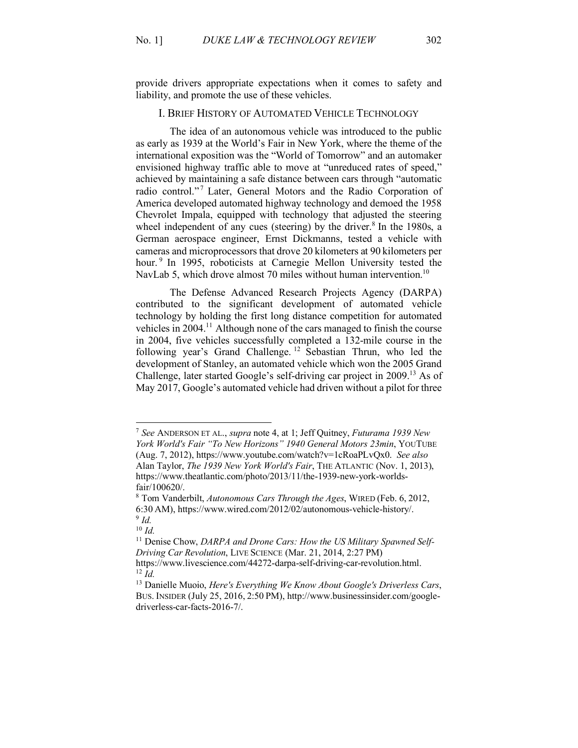provide drivers appropriate expectations when it comes to safety and liability, and promote the use of these vehicles.

# I. BRIEF HISTORY OF AUTOMATED VEHICLE TECHNOLOGY

The idea of an autonomous vehicle was introduced to the public as early as 1939 at the World's Fair in New York, where the theme of the international exposition was the "World of Tomorrow" and an automaker envisioned highway traffic able to move at "unreduced rates of speed," achieved by maintaining a safe distance between cars through "automatic radio control."<sup>7</sup> Later, General Motors and the Radio Corporation of America developed automated highway technology and demoed the 1958 Chevrolet Impala, equipped with technology that adjusted the steering wheel independent of any cues (steering) by the driver.<sup>8</sup> In the 1980s, a German aerospace engineer, Ernst Dickmanns, tested a vehicle with cameras and microprocessors that drove 20 kilometers at 90 kilometers per hour.<sup>9</sup> In 1995, roboticists at Carnegie Mellon University tested the NavLab 5, which drove almost 70 miles without human intervention.<sup>10</sup>

The Defense Advanced Research Projects Agency (DARPA) contributed to the significant development of automated vehicle technology by holding the first long distance competition for automated vehicles in 2004.<sup>11</sup> Although none of the cars managed to finish the course in 2004, five vehicles successfully completed a 132-mile course in the following year's Grand Challenge. <sup>12</sup> Sebastian Thrun, who led the development of Stanley, an automated vehicle which won the 2005 Grand Challenge, later started Google's self-driving car project in 2009.<sup>13</sup> As of May 2017, Google's automated vehicle had driven without a pilot for three

 <sup>7</sup> *See* ANDERSON ET AL., *supra* note 4, at 1; Jeff Quitney, *Futurama 1939 New York World's Fair "To New Horizons" 1940 General Motors 23min*, YOUTUBE (Aug. 7, 2012), https://www.youtube.com/watch?v=1cRoaPLvQx0. *See also* Alan Taylor, *The 1939 New York World's Fair*, THE ATLANTIC (Nov. 1, 2013), https://www.theatlantic.com/photo/2013/11/the-1939-new-york-worldsfair/100620/.

<sup>8</sup> Tom Vanderbilt, *Autonomous Cars Through the Ages*, WIRED (Feb. 6, 2012, 6:30 AM), https://www.wired.com/2012/02/autonomous-vehicle-history/. <sup>9</sup> *Id.*

<sup>10</sup> *Id.*

<sup>&</sup>lt;sup>11</sup> Denise Chow, *DARPA and Drone Cars: How the US Military Spawned Self-Driving Car Revolution*, LIVE SCIENCE (Mar. 21, 2014, 2:27 PM)

https://www.livescience.com/44272-darpa-self-driving-car-revolution.html. <sup>12</sup> *Id.*

<sup>13</sup> Danielle Muoio, *Here's Everything We Know About Google's Driverless Cars*, BUS. INSIDER (July 25, 2016, 2:50 PM), http://www.businessinsider.com/googledriverless-car-facts-2016-7/.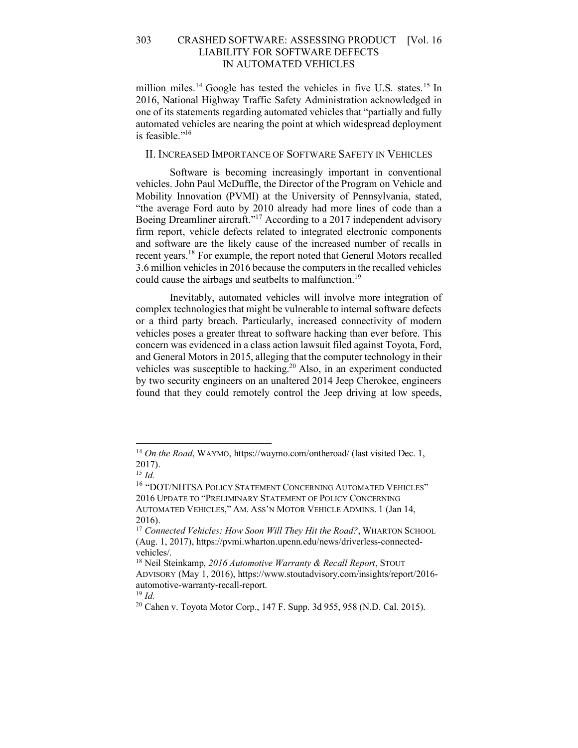million miles.<sup>14</sup> Google has tested the vehicles in five U.S. states.<sup>15</sup> In 2016, National Highway Traffic Safety Administration acknowledged in one of its statements regarding automated vehicles that "partially and fully automated vehicles are nearing the point at which widespread deployment is feasible."16

## II. INCREASED IMPORTANCE OF SOFTWARE SAFETY IN VEHICLES

Software is becoming increasingly important in conventional vehicles. John Paul McDuffle, the Director of the Program on Vehicle and Mobility Innovation (PVMI) at the University of Pennsylvania, stated, "the average Ford auto by 2010 already had more lines of code than a Boeing Dreamliner aircraft."17 According to a 2017 independent advisory firm report, vehicle defects related to integrated electronic components and software are the likely cause of the increased number of recalls in recent years.<sup>18</sup> For example, the report noted that General Motors recalled 3.6 million vehicles in 2016 because the computers in the recalled vehicles could cause the airbags and seatbelts to malfunction.<sup>19</sup>

Inevitably, automated vehicles will involve more integration of complex technologies that might be vulnerable to internal software defects or a third party breach. Particularly, increased connectivity of modern vehicles poses a greater threat to software hacking than ever before. This concern was evidenced in a class action lawsuit filed against Toyota, Ford, and General Motors in 2015, alleging that the computer technology in their vehicles was susceptible to hacking.<sup>20</sup> Also, in an experiment conducted by two security engineers on an unaltered 2014 Jeep Cherokee, engineers found that they could remotely control the Jeep driving at low speeds,

<sup>&</sup>lt;sup>14</sup> *On the Road*, WAYMO, https://waymo.com/ontheroad/ (last visited Dec. 1, 2017).

<sup>15</sup> *Id.*

<sup>&</sup>lt;sup>16</sup> "DOT/NHTSA POLICY STATEMENT CONCERNING AUTOMATED VEHICLES" 2016 UPDATE TO "PRELIMINARY STATEMENT OF POLICY CONCERNING AUTOMATED VEHICLES," AM. ASS'N MOTOR VEHICLE ADMINS. 1 (Jan 14, 2016).

<sup>&</sup>lt;sup>17</sup> Connected Vehicles: How Soon Will They Hit the Road?, WHARTON SCHOOL (Aug. 1, 2017), https://pvmi.wharton.upenn.edu/news/driverless-connectedvehicles/.

<sup>18</sup> Neil Steinkamp, *2016 Automotive Warranty & Recall Report*, STOUT ADVISORY (May 1, 2016), https://www.stoutadvisory.com/insights/report/2016 automotive-warranty-recall-report.

<sup>19</sup> *Id.*

<sup>20</sup> Cahen v. Toyota Motor Corp., 147 F. Supp. 3d 955, 958 (N.D. Cal. 2015).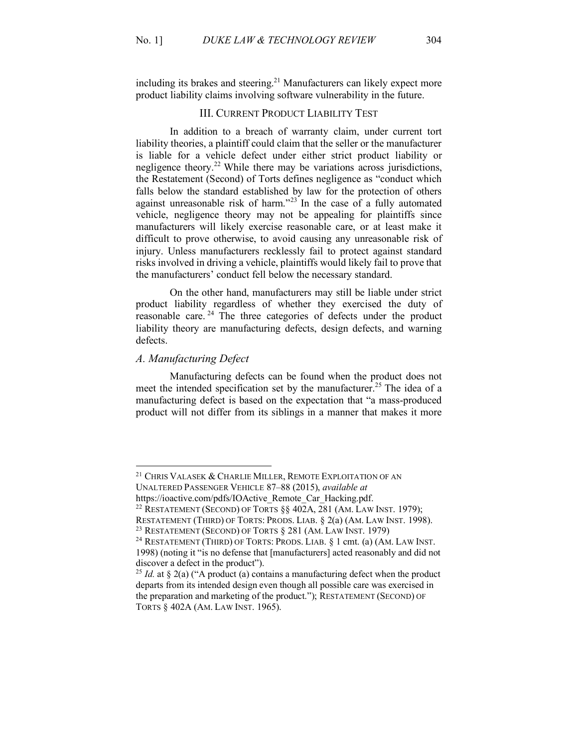including its brakes and steering.<sup>21</sup> Manufacturers can likely expect more product liability claims involving software vulnerability in the future.

#### III. CURRENT PRODUCT LIABILITY TEST

In addition to a breach of warranty claim, under current tort liability theories, a plaintiff could claim that the seller or the manufacturer is liable for a vehicle defect under either strict product liability or negligence theory. <sup>22</sup> While there may be variations across jurisdictions, the Restatement (Second) of Torts defines negligence as "conduct which falls below the standard established by law for the protection of others against unreasonable risk of harm."<sup>23</sup> In the case of a fully automated vehicle, negligence theory may not be appealing for plaintiffs since manufacturers will likely exercise reasonable care, or at least make it difficult to prove otherwise, to avoid causing any unreasonable risk of injury. Unless manufacturers recklessly fail to protect against standard risks involved in driving a vehicle, plaintiffs would likely fail to prove that the manufacturers' conduct fell below the necessary standard.

On the other hand, manufacturers may still be liable under strict product liability regardless of whether they exercised the duty of reasonable care.<sup>24</sup> The three categories of defects under the product liability theory are manufacturing defects, design defects, and warning defects.

#### *A. Manufacturing Defect*

Manufacturing defects can be found when the product does not meet the intended specification set by the manufacturer.<sup>25</sup> The idea of a manufacturing defect is based on the expectation that "a mass-produced product will not differ from its siblings in a manner that makes it more

<sup>&</sup>lt;sup>21</sup> CHRIS VALASEK & CHARLIE MILLER, REMOTE EXPLOITATION OF AN UNALTERED PASSENGER VEHICLE 87–88 (2015), *available at*

https://ioactive.com/pdfs/IOActive\_Remote\_Car\_Hacking.pdf.<br><sup>22</sup> RESTATEMENT (SECOND) OF TORTS §§ 402A, 281 (AM. LAW INST. 1979);

RESTATEMENT (THIRD) OF TORTS: PRODS. LIAB. § 2(a) (AM. LAW INST. 1998). <sup>23</sup> RESTATEMENT (SECOND) OF TORTS § 281 (AM. LAW INST. 1979)

<sup>24</sup> RESTATEMENT (THIRD) OF TORTS: PRODS. LIAB. § 1 cmt. (a) (AM. LAW INST. 1998) (noting it "is no defense that [manufacturers] acted reasonably and did not discover a defect in the product").

<sup>&</sup>lt;sup>25</sup> *Id.* at § 2(a) ("A product (a) contains a manufacturing defect when the product departs from its intended design even though all possible care was exercised in the preparation and marketing of the product."); RESTATEMENT (SECOND) OF TORTS § 402A (AM. LAW INST. 1965).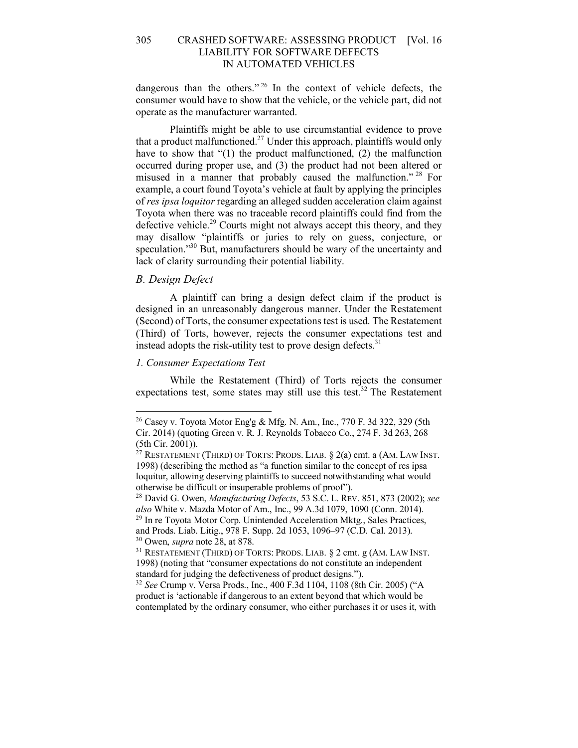dangerous than the others." <sup>26</sup> In the context of vehicle defects, the consumer would have to show that the vehicle, or the vehicle part, did not operate as the manufacturer warranted.

Plaintiffs might be able to use circumstantial evidence to prove that a product malfunctioned.<sup>27</sup> Under this approach, plaintiffs would only have to show that "(1) the product malfunctioned, (2) the malfunction occurred during proper use, and (3) the product had not been altered or misused in a manner that probably caused the malfunction." <sup>28</sup> For example, a court found Toyota's vehicle at fault by applying the principles of *res ipsa loquitor* regarding an alleged sudden acceleration claim against Toyota when there was no traceable record plaintiffs could find from the defective vehicle.<sup>29</sup> Courts might not always accept this theory, and they may disallow "plaintiffs or juries to rely on guess, conjecture, or speculation."<sup>30</sup> But, manufacturers should be wary of the uncertainty and lack of clarity surrounding their potential liability.

#### *B. Design Defect*

A plaintiff can bring a design defect claim if the product is designed in an unreasonably dangerous manner. Under the Restatement (Second) of Torts, the consumer expectations test is used. The Restatement (Third) of Torts, however, rejects the consumer expectations test and instead adopts the risk-utility test to prove design defects. $31$ 

#### *1. Consumer Expectations Test*

While the Restatement (Third) of Torts rejects the consumer expectations test, some states may still use this test.<sup>32</sup> The Restatement

<sup>&</sup>lt;sup>26</sup> Casey v. Toyota Motor Eng'g & Mfg. N. Am., Inc., 770 F. 3d 322, 329 (5th Cir. 2014) (quoting Green v. R. J. Reynolds Tobacco Co., 274 F. 3d 263, 268 (5th Cir. 2001)).

<sup>&</sup>lt;sup>27</sup> RESTATEMENT (THIRD) OF TORTS: PRODS. LIAB.  $\S$  2(a) cmt. a (AM. LAW INST. 1998) (describing the method as "a function similar to the concept of res ipsa loquitur, allowing deserving plaintiffs to succeed notwithstanding what would otherwise be difficult or insuperable problems of proof").

<sup>28</sup> David G. Owen, *Manufacturing Defects*, 53 S.C. L. REV. 851, 873 (2002); *see also* White v. Mazda Motor of Am., Inc., 99 A.3d 1079, 1090 (Conn. 2014).

<sup>29</sup> In re Toyota Motor Corp. Unintended Acceleration Mktg., Sales Practices, and Prods. Liab. Litig., 978 F. Supp. 2d 1053, 1096–97 (C.D. Cal. 2013). <sup>30</sup> Owen, *supra* note 28, at 878.

<sup>31</sup> RESTATEMENT (THIRD) OF TORTS: PRODS. LIAB. § 2 cmt. g (AM. LAW INST. 1998) (noting that "consumer expectations do not constitute an independent standard for judging the defectiveness of product designs.").

<sup>32</sup> *See* Crump v. Versa Prods., Inc., 400 F.3d 1104, 1108 (8th Cir. 2005) ("A product is 'actionable if dangerous to an extent beyond that which would be contemplated by the ordinary consumer, who either purchases it or uses it, with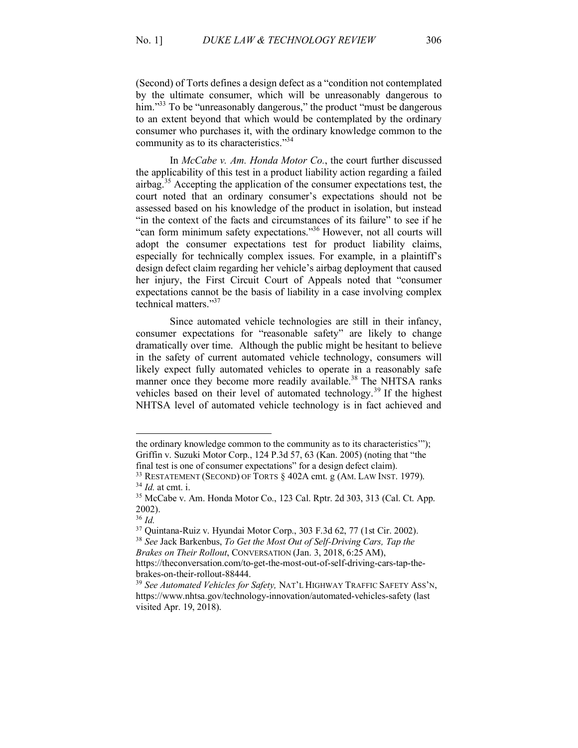(Second) of Torts defines a design defect as a "condition not contemplated by the ultimate consumer, which will be unreasonably dangerous to him."<sup>33</sup> To be "unreasonably dangerous," the product "must be dangerous to an extent beyond that which would be contemplated by the ordinary consumer who purchases it, with the ordinary knowledge common to the community as to its characteristics."34

In *McCabe v. Am. Honda Motor Co.*, the court further discussed the applicability of this test in a product liability action regarding a failed airbag.<sup>35</sup> Accepting the application of the consumer expectations test, the court noted that an ordinary consumer's expectations should not be assessed based on his knowledge of the product in isolation, but instead "in the context of the facts and circumstances of its failure" to see if he "can form minimum safety expectations."36 However, not all courts will adopt the consumer expectations test for product liability claims, especially for technically complex issues. For example, in a plaintiff's design defect claim regarding her vehicle's airbag deployment that caused her injury, the First Circuit Court of Appeals noted that "consumer expectations cannot be the basis of liability in a case involving complex technical matters."37

Since automated vehicle technologies are still in their infancy, consumer expectations for "reasonable safety" are likely to change dramatically over time. Although the public might be hesitant to believe in the safety of current automated vehicle technology, consumers will likely expect fully automated vehicles to operate in a reasonably safe manner once they become more readily available.<sup>38</sup> The NHTSA ranks vehicles based on their level of automated technology. <sup>39</sup> If the highest NHTSA level of automated vehicle technology is in fact achieved and

l

the ordinary knowledge common to the community as to its characteristics'"); Griffin v. Suzuki Motor Corp., 124 P.3d 57, 63 (Kan. 2005) (noting that "the final test is one of consumer expectations" for a design defect claim).

<sup>&</sup>lt;sup>33</sup> RESTATEMENT (SECOND) OF TORTS § 402A cmt. g (AM. LAW INST. 1979). <sup>34</sup> *Id.* at cmt. i.

<sup>35</sup> McCabe v. Am. Honda Motor Co., 123 Cal. Rptr. 2d 303, 313 (Cal. Ct. App. 2002). 36 *Id.*

<sup>37</sup> Quintana-Ruiz v. Hyundai Motor Corp., 303 F.3d 62, 77 (1st Cir. 2002).

<sup>38</sup> *See* Jack Barkenbus, *To Get the Most Out of Self-Driving Cars, Tap the Brakes on Their Rollout*, CONVERSATION (Jan. 3, 2018, 6:25 AM),

https://theconversation.com/to-get-the-most-out-of-self-driving-cars-tap-thebrakes-on-their-rollout-88444.

<sup>39</sup> *See Automated Vehicles for Safety,* NAT'L HIGHWAY TRAFFIC SAFETY ASS'N, https://www.nhtsa.gov/technology-innovation/automated-vehicles-safety (last visited Apr. 19, 2018).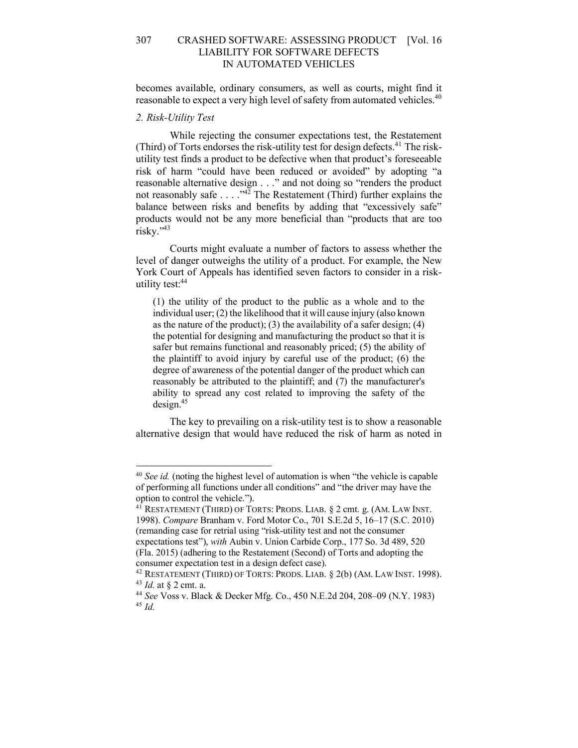becomes available, ordinary consumers, as well as courts, might find it reasonable to expect a very high level of safety from automated vehicles.<sup>40</sup>

#### *2. Risk-Utility Test*

While rejecting the consumer expectations test, the Restatement (Third) of Torts endorses the risk-utility test for design defects. $41$  The riskutility test finds a product to be defective when that product's foreseeable risk of harm "could have been reduced or avoided" by adopting "a reasonable alternative design . . ." and not doing so "renders the product not reasonably safe  $\ldots$  ...<sup>442</sup> The Restatement (Third) further explains the balance between risks and benefits by adding that "excessively safe" products would not be any more beneficial than "products that are too risky."43

Courts might evaluate a number of factors to assess whether the level of danger outweighs the utility of a product. For example, the New York Court of Appeals has identified seven factors to consider in a riskutility test: 44

(1) the utility of the product to the public as a whole and to the individual user; (2) the likelihood that it will cause injury (also known as the nature of the product); (3) the availability of a safer design; (4) the potential for designing and manufacturing the product so that it is safer but remains functional and reasonably priced; (5) the ability of the plaintiff to avoid injury by careful use of the product; (6) the degree of awareness of the potential danger of the product which can reasonably be attributed to the plaintiff; and (7) the manufacturer's ability to spread any cost related to improving the safety of the design.45

The key to prevailing on a risk-utility test is to show a reasonable alternative design that would have reduced the risk of harm as noted in

 <sup>40</sup> *See id.* (noting the highest level of automation is when "the vehicle is capable of performing all functions under all conditions" and "the driver may have the option to control the vehicle.").

<sup>&</sup>lt;sup>41</sup> RESTATEMENT (THIRD) OF TORTS: PRODS. LIAB. § 2 cmt. g. (AM. LAW INST. 1998). *Compare* Branham v. Ford Motor Co., 701 S.E.2d 5, 16–17 (S.C. 2010) (remanding case for retrial using "risk-utility test and not the consumer expectations test"), *with* Aubin v. Union Carbide Corp., 177 So. 3d 489, 520 (Fla. 2015) (adhering to the Restatement (Second) of Torts and adopting the consumer expectation test in a design defect case).

 $42$  RESTATEMENT (THIRD) OF TORTS: PRODS. LIAB.  $\S$  2(b) (AM. LAW INST. 1998).

<sup>43</sup> *Id.* at § 2 cmt. a. 44 *See* Voss v. Black & Decker Mfg. Co., 450 N.E.2d 204, 208–09 (N.Y. 1983) 45 *Id.*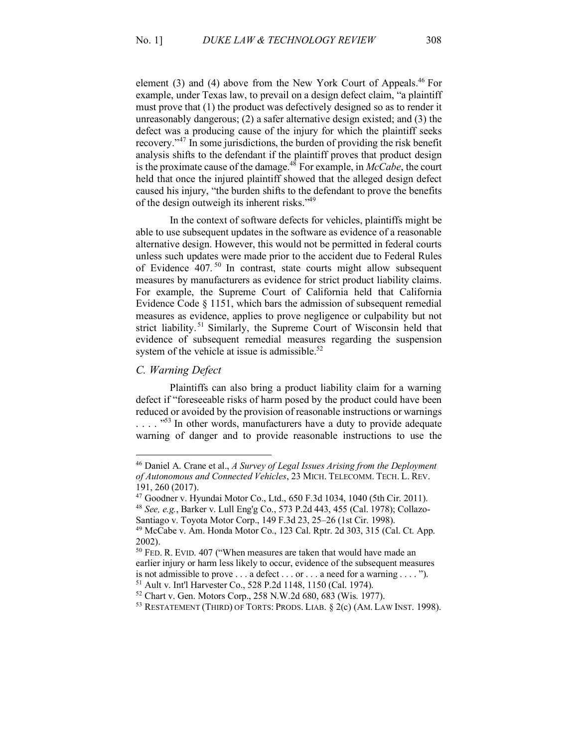element (3) and (4) above from the New York Court of Appeals.<sup>46</sup> For example, under Texas law, to prevail on a design defect claim, "a plaintiff must prove that (1) the product was defectively designed so as to render it unreasonably dangerous; (2) a safer alternative design existed; and (3) the defect was a producing cause of the injury for which the plaintiff seeks recovery."<sup>47</sup> In some jurisdictions, the burden of providing the risk benefit analysis shifts to the defendant if the plaintiff proves that product design is the proximate cause of the damage.48 For example, in *McCabe*, the court held that once the injured plaintiff showed that the alleged design defect caused his injury, "the burden shifts to the defendant to prove the benefits of the design outweigh its inherent risks."49

In the context of software defects for vehicles, plaintiffs might be able to use subsequent updates in the software as evidence of a reasonable alternative design. However, this would not be permitted in federal courts unless such updates were made prior to the accident due to Federal Rules of Evidence 407. <sup>50</sup> In contrast, state courts might allow subsequent measures by manufacturers as evidence for strict product liability claims. For example, the Supreme Court of California held that California Evidence Code § 1151, which bars the admission of subsequent remedial measures as evidence, applies to prove negligence or culpability but not strict liability.<sup>51</sup> Similarly, the Supreme Court of Wisconsin held that evidence of subsequent remedial measures regarding the suspension system of the vehicle at issue is admissible.<sup>52</sup>

#### *C. Warning Defect*

Plaintiffs can also bring a product liability claim for a warning defect if "foreseeable risks of harm posed by the product could have been reduced or avoided by the provision of reasonable instructions or warnings  $\ldots$   $\frac{1053}{100}$  In other words, manufacturers have a duty to provide adequate warning of danger and to provide reasonable instructions to use the

 <sup>46</sup> Daniel A. Crane et al., *A Survey of Legal Issues Arising from the Deployment of Autonomous and Connected Vehicles*, 23 MICH. TELECOMM. TECH. L. REV. 191, 260 (2017).

<sup>47</sup> Goodner v. Hyundai Motor Co., Ltd., 650 F.3d 1034, 1040 (5th Cir. 2011).

<sup>48</sup> *See, e.g.*, Barker v. Lull Eng'g Co., 573 P.2d 443, 455 (Cal. 1978); Collazo-Santiago v. Toyota Motor Corp., 149 F.3d 23, 25–26 (1st Cir. 1998).

<sup>49</sup> McCabe v. Am. Honda Motor Co., 123 Cal. Rptr. 2d 303, 315 (Cal. Ct. App. 2002).

<sup>&</sup>lt;sup>50</sup> FED. R. EVID. 407 ("When measures are taken that would have made an earlier injury or harm less likely to occur, evidence of the subsequent measures is not admissible to prove . . . a defect . . . or . . . a need for a warning . . . . ").

<sup>51</sup> Ault v. Int'l Harvester Co., 528 P.2d 1148, 1150 (Cal. 1974).

<sup>52</sup> Chart v. Gen. Motors Corp., 258 N.W.2d 680, 683 (Wis. 1977).

<sup>53</sup> RESTATEMENT (THIRD) OF TORTS: PRODS. LIAB. § 2(c) (AM. LAW INST. 1998).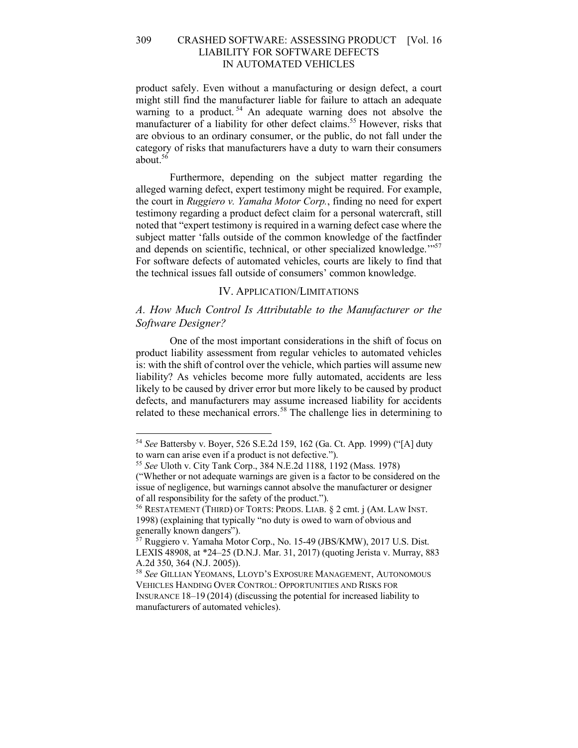product safely. Even without a manufacturing or design defect, a court might still find the manufacturer liable for failure to attach an adequate warning to a product.<sup>54</sup> An adequate warning does not absolve the manufacturer of a liability for other defect claims.<sup>55</sup> However, risks that are obvious to an ordinary consumer, or the public, do not fall under the category of risks that manufacturers have a duty to warn their consumers about. 56

Furthermore, depending on the subject matter regarding the alleged warning defect, expert testimony might be required. For example, the court in *Ruggiero v. Yamaha Motor Corp.*, finding no need for expert testimony regarding a product defect claim for a personal watercraft, still noted that "expert testimony is required in a warning defect case where the subject matter 'falls outside of the common knowledge of the factfinder and depends on scientific, technical, or other specialized knowledge."<sup>57</sup> For software defects of automated vehicles, courts are likely to find that the technical issues fall outside of consumers' common knowledge.

# IV. APPLICATION/LIMITATIONS

# *A. How Much Control Is Attributable to the Manufacturer or the Software Designer?*

One of the most important considerations in the shift of focus on product liability assessment from regular vehicles to automated vehicles is: with the shift of control over the vehicle, which parties will assume new liability? As vehicles become more fully automated, accidents are less likely to be caused by driver error but more likely to be caused by product defects, and manufacturers may assume increased liability for accidents related to these mechanical errors.<sup>58</sup> The challenge lies in determining to

 <sup>54</sup> *See* Battersby v. Boyer, 526 S.E.2d 159, 162 (Ga. Ct. App. 1999) ("[A] duty to warn can arise even if a product is not defective.").

<sup>55</sup> *See* Uloth v. City Tank Corp., 384 N.E.2d 1188, 1192 (Mass. 1978) ("Whether or not adequate warnings are given is a factor to be considered on the issue of negligence, but warnings cannot absolve the manufacturer or designer of all responsibility for the safety of the product.").

<sup>56</sup> RESTATEMENT (THIRD) OF TORTS: PRODS. LIAB. § 2 cmt. j (AM. LAW INST. 1998) (explaining that typically "no duty is owed to warn of obvious and generally known dangers").

<sup>57</sup> Ruggiero v. Yamaha Motor Corp., No. 15-49 (JBS/KMW), 2017 U.S. Dist. LEXIS 48908, at \*24–25 (D.N.J. Mar. 31, 2017) (quoting Jerista v. Murray, 883 A.2d 350, 364 (N.J. 2005)).

<sup>58</sup> *See* GILLIAN YEOMANS, LLOYD'S EXPOSURE MANAGEMENT, AUTONOMOUS VEHICLES HANDING OVER CONTROL: OPPORTUNITIES AND RISKS FOR INSURANCE 18–19 (2014) (discussing the potential for increased liability to manufacturers of automated vehicles).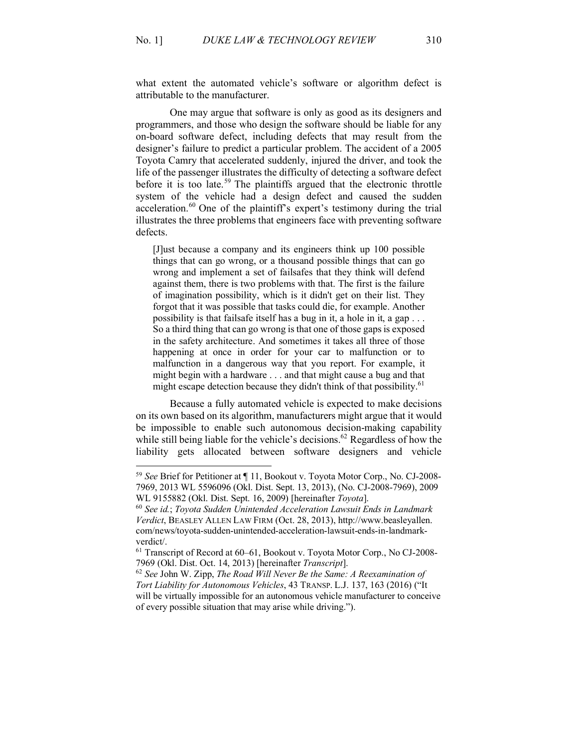what extent the automated vehicle's software or algorithm defect is attributable to the manufacturer.

One may argue that software is only as good as its designers and programmers, and those who design the software should be liable for any on-board software defect, including defects that may result from the designer's failure to predict a particular problem. The accident of a 2005 Toyota Camry that accelerated suddenly, injured the driver, and took the life of the passenger illustrates the difficulty of detecting a software defect before it is too late.<sup>59</sup> The plaintiffs argued that the electronic throttle system of the vehicle had a design defect and caused the sudden acceleration. <sup>60</sup> One of the plaintiff's expert's testimony during the trial illustrates the three problems that engineers face with preventing software defects.

[J]ust because a company and its engineers think up 100 possible things that can go wrong, or a thousand possible things that can go wrong and implement a set of failsafes that they think will defend against them, there is two problems with that. The first is the failure of imagination possibility, which is it didn't get on their list. They forgot that it was possible that tasks could die, for example. Another possibility is that failsafe itself has a bug in it, a hole in it, a gap . . . So a third thing that can go wrong is that one of those gaps is exposed in the safety architecture. And sometimes it takes all three of those happening at once in order for your car to malfunction or to malfunction in a dangerous way that you report. For example, it might begin with a hardware . . . and that might cause a bug and that might escape detection because they didn't think of that possibility.<sup>61</sup>

Because a fully automated vehicle is expected to make decisions on its own based on its algorithm, manufacturers might argue that it would be impossible to enable such autonomous decision-making capability while still being liable for the vehicle's decisions.<sup>62</sup> Regardless of how the liability gets allocated between software designers and vehicle

 <sup>59</sup> *See* Brief for Petitioner at ¶ 11, Bookout v. Toyota Motor Corp., No. CJ-2008- 7969, 2013 WL 5596096 (Okl. Dist. Sept. 13, 2013), (No. CJ-2008-7969), 2009 WL 9155882 (Okl. Dist. Sept. 16, 2009) [hereinafter *Toyota*].

<sup>60</sup> *See id.*; *Toyota Sudden Unintended Acceleration Lawsuit Ends in Landmark Verdict*, BEASLEY ALLEN LAW FIRM (Oct. 28, 2013), http://www.beasleyallen. com/news/toyota-sudden-unintended-acceleration-lawsuit-ends-in-landmarkverdict/. 61 Transcript of Record at 60–61, Bookout v. Toyota Motor Corp., No CJ-2008-

<sup>7969 (</sup>Okl. Dist. Oct. 14, 2013) [hereinafter *Transcript*].

<sup>62</sup> *See* John W. Zipp, *The Road Will Never Be the Same: A Reexamination of Tort Liability for Autonomous Vehicles*, 43 TRANSP. L.J. 137, 163 (2016) ("It will be virtually impossible for an autonomous vehicle manufacturer to conceive of every possible situation that may arise while driving.").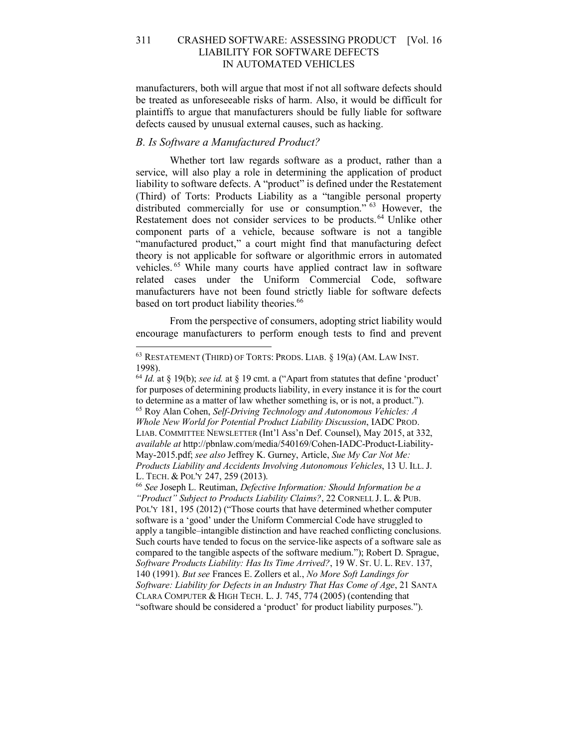manufacturers, both will argue that most if not all software defects should be treated as unforeseeable risks of harm. Also, it would be difficult for plaintiffs to argue that manufacturers should be fully liable for software defects caused by unusual external causes, such as hacking.

## *B. Is Software a Manufactured Product?*

Whether tort law regards software as a product, rather than a service, will also play a role in determining the application of product liability to software defects. A "product" is defined under the Restatement (Third) of Torts: Products Liability as a "tangible personal property distributed commercially for use or consumption." <sup>63</sup> However, the Restatement does not consider services to be products.<sup>64</sup> Unlike other component parts of a vehicle, because software is not a tangible "manufactured product," a court might find that manufacturing defect theory is not applicable for software or algorithmic errors in automated vehicles. <sup>65</sup> While many courts have applied contract law in software related cases under the Uniform Commercial Code, software manufacturers have not been found strictly liable for software defects based on tort product liability theories.<sup>66</sup>

From the perspective of consumers, adopting strict liability would encourage manufacturers to perform enough tests to find and prevent

 <sup>63</sup> RESTATEMENT (THIRD) OF TORTS: PRODS. LIAB. § 19(a) (AM. LAW INST. 1998).

<sup>64</sup> *Id.* at § 19(b); *see id.* at § 19 cmt. a ("Apart from statutes that define 'product' for purposes of determining products liability, in every instance it is for the court to determine as a matter of law whether something is, or is not, a product."). <sup>65</sup> Roy Alan Cohen, *Self-Driving Technology and Autonomous Vehicles: A Whole New World for Potential Product Liability Discussion*, IADC PROD. LIAB. COMMITTEE NEWSLETTER (Int'l Ass'n Def. Counsel), May 2015, at 332, *available at* http://pbnlaw.com/media/540169/Cohen-IADC-Product-Liability-May-2015.pdf; *see also* Jeffrey K. Gurney, Article, *Sue My Car Not Me: Products Liability and Accidents Involving Autonomous Vehicles*, 13 U. ILL. J. L. TECH. & POL'Y 247, 259 (2013).

<sup>66</sup> *See* Joseph L. Reutiman, *Defective Information: Should Information be a "Product" Subject to Products Liability Claims?*, 22 CORNELL J. L. & PUB. POL'Y 181, 195 (2012) ("Those courts that have determined whether computer software is a 'good' under the Uniform Commercial Code have struggled to apply a tangible–intangible distinction and have reached conflicting conclusions. Such courts have tended to focus on the service-like aspects of a software sale as compared to the tangible aspects of the software medium."); Robert D. Sprague, *Software Products Liability: Has Its Time Arrived?*, 19 W. ST. U. L. REV. 137, 140 (1991). *But see* Frances E. Zollers et al., *No More Soft Landings for Software: Liability for Defects in an Industry That Has Come of Age*, 21 SANTA CLARA COMPUTER & HIGH TECH. L. J. 745, 774 (2005) (contending that "software should be considered a 'product' for product liability purposes.").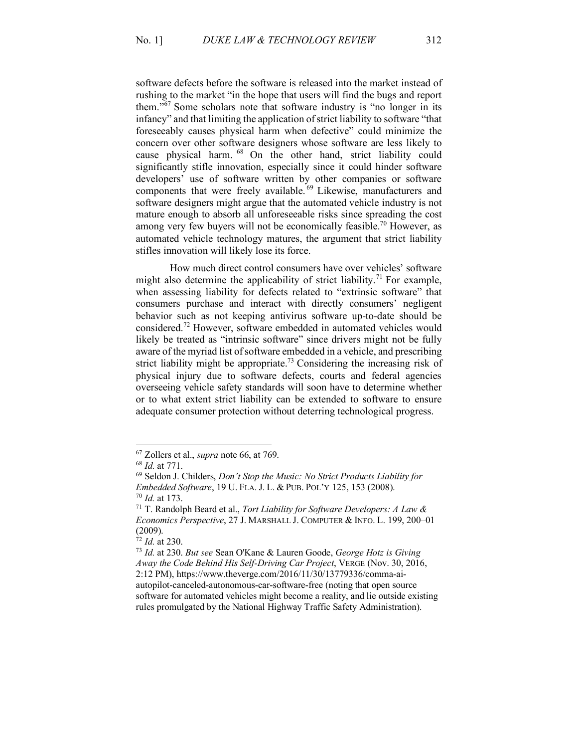software defects before the software is released into the market instead of rushing to the market "in the hope that users will find the bugs and report them."<sup>67</sup> Some scholars note that software industry is "no longer in its infancy" and that limiting the application of strict liability to software "that foreseeably causes physical harm when defective" could minimize the concern over other software designers whose software are less likely to cause physical harm. <sup>68</sup> On the other hand, strict liability could significantly stifle innovation, especially since it could hinder software developers' use of software written by other companies or software components that were freely available.<sup>69</sup> Likewise, manufacturers and software designers might argue that the automated vehicle industry is not mature enough to absorb all unforeseeable risks since spreading the cost among very few buyers will not be economically feasible.<sup>70</sup> However, as automated vehicle technology matures, the argument that strict liability stifles innovation will likely lose its force.

How much direct control consumers have over vehicles' software might also determine the applicability of strict liability.<sup>71</sup> For example, when assessing liability for defects related to "extrinsic software" that consumers purchase and interact with directly consumers' negligent behavior such as not keeping antivirus software up-to-date should be considered. <sup>72</sup> However, software embedded in automated vehicles would likely be treated as "intrinsic software" since drivers might not be fully aware of the myriad list of software embedded in a vehicle, and prescribing strict liability might be appropriate.<sup>73</sup> Considering the increasing risk of physical injury due to software defects, courts and federal agencies overseeing vehicle safety standards will soon have to determine whether or to what extent strict liability can be extended to software to ensure adequate consumer protection without deterring technological progress.

 <sup>67</sup> Zollers et al., *supra* note 66, at 769.

<sup>68</sup> *Id.* at 771.

<sup>69</sup> Seldon J. Childers, *Don't Stop the Music: No Strict Products Liability for Embedded Software*, 19 U. FLA. J. L. & PUB. POL'Y 125, 153 (2008). <sup>70</sup> *Id.* at 173.

<sup>71</sup> T. Randolph Beard et al., *Tort Liability for Software Developers: A Law & Economics Perspective*, 27 J. MARSHALL J. COMPUTER & INFO. L. 199, 200–01  $(2009)$ .<br><sup>72</sup> *Id.* at 230.

<sup>72</sup> *Id.* at 230. 73 *Id.* at 230. *But see* Sean O'Kane & Lauren Goode, *George Hotz is Giving Away the Code Behind His Self-Driving Car Project*, VERGE (Nov. 30, 2016, 2:12 PM), https://www.theverge.com/2016/11/30/13779336/comma-aiautopilot-canceled-autonomous-car-software-free (noting that open source software for automated vehicles might become a reality, and lie outside existing rules promulgated by the National Highway Traffic Safety Administration).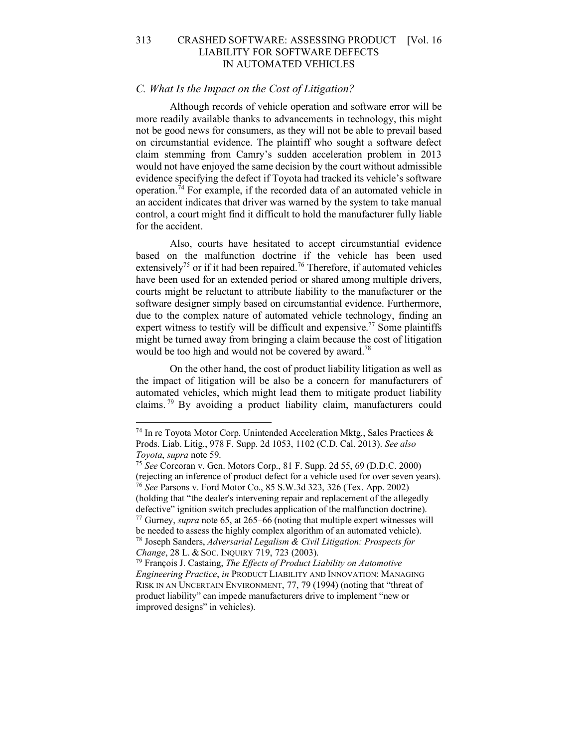#### *C. What Is the Impact on the Cost of Litigation?*

Although records of vehicle operation and software error will be more readily available thanks to advancements in technology, this might not be good news for consumers, as they will not be able to prevail based on circumstantial evidence. The plaintiff who sought a software defect claim stemming from Camry's sudden acceleration problem in 2013 would not have enjoyed the same decision by the court without admissible evidence specifying the defect if Toyota had tracked its vehicle's software operation.<sup>74</sup> For example, if the recorded data of an automated vehicle in an accident indicates that driver was warned by the system to take manual control, a court might find it difficult to hold the manufacturer fully liable for the accident.

Also, courts have hesitated to accept circumstantial evidence based on the malfunction doctrine if the vehicle has been used extensively<sup>75</sup> or if it had been repaired.<sup>76</sup> Therefore, if automated vehicles have been used for an extended period or shared among multiple drivers, courts might be reluctant to attribute liability to the manufacturer or the software designer simply based on circumstantial evidence. Furthermore, due to the complex nature of automated vehicle technology, finding an expert witness to testify will be difficult and expensive.<sup>77</sup> Some plaintiffs might be turned away from bringing a claim because the cost of litigation would be too high and would not be covered by award.<sup>78</sup>

On the other hand, the cost of product liability litigation as well as the impact of litigation will be also be a concern for manufacturers of automated vehicles, which might lead them to mitigate product liability claims. <sup>79</sup> By avoiding a product liability claim, manufacturers could

<sup>&</sup>lt;sup>74</sup> In re Toyota Motor Corp. Unintended Acceleration Mktg., Sales Practices  $\&$ Prods. Liab. Litig., 978 F. Supp. 2d 1053, 1102 (C.D. Cal. 2013). *See also Toyota*, *supra* note 59.

<sup>75</sup> *See* Corcoran v. Gen. Motors Corp., 81 F. Supp. 2d 55, 69 (D.D.C. 2000) (rejecting an inference of product defect for a vehicle used for over seven years). 76 *See* Parsons v. Ford Motor Co., 85 S.W.3d 323, 326 (Tex. App. 2002) (holding that "the dealer's intervening repair and replacement of the allegedly defective" ignition switch precludes application of the malfunction doctrine). 77 Gurney, *supra* note 65, at 265–66 (noting that multiple expert witnesses will

be needed to assess the highly complex algorithm of an automated vehicle). 78 Joseph Sanders, *Adversarial Legalism & Civil Litigation: Prospects for Change*, 28 L. & Soc. INQUIRY 719, 723 (2003).<br><sup>79</sup> François J. Castaing, *The Effects of Product Liability on Automotive* 

*Engineering Practice*, *in* PRODUCT LIABILITY AND INNOVATION: MANAGING RISK IN AN UNCERTAIN ENVIRONMENT, 77, 79 (1994) (noting that "threat of product liability" can impede manufacturers drive to implement "new or improved designs" in vehicles).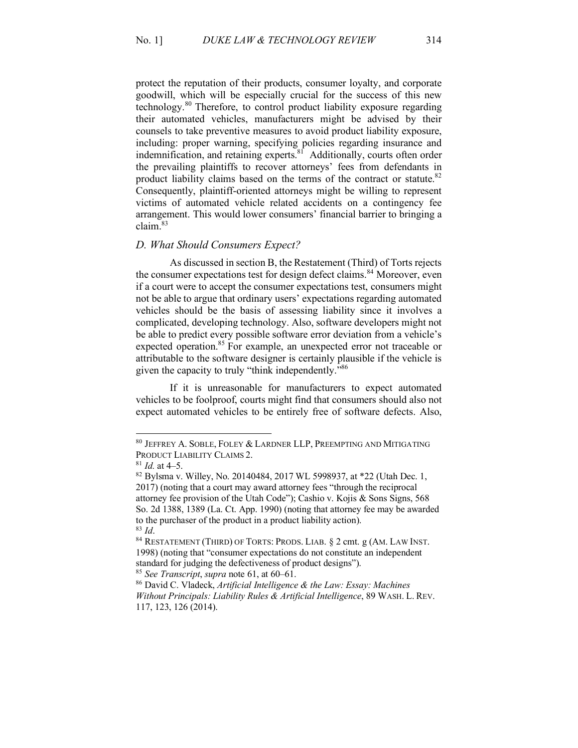protect the reputation of their products, consumer loyalty, and corporate goodwill, which will be especially crucial for the success of this new technology.<sup>80</sup> Therefore, to control product liability exposure regarding their automated vehicles, manufacturers might be advised by their counsels to take preventive measures to avoid product liability exposure, including: proper warning, specifying policies regarding insurance and indemnification, and retaining experts.<sup>81</sup> Additionally, courts often order the prevailing plaintiffs to recover attorneys' fees from defendants in product liability claims based on the terms of the contract or statute.<sup>82</sup> Consequently, plaintiff-oriented attorneys might be willing to represent victims of automated vehicle related accidents on a contingency fee arrangement. This would lower consumers' financial barrier to bringing a claim.83

#### *D. What Should Consumers Expect?*

As discussed in section B, the Restatement (Third) of Torts rejects the consumer expectations test for design defect claims.<sup>84</sup> Moreover, even if a court were to accept the consumer expectations test, consumers might not be able to argue that ordinary users' expectations regarding automated vehicles should be the basis of assessing liability since it involves a complicated, developing technology. Also, software developers might not be able to predict every possible software error deviation from a vehicle's expected operation.<sup>85</sup> For example, an unexpected error not traceable or attributable to the software designer is certainly plausible if the vehicle is given the capacity to truly "think independently."86

If it is unreasonable for manufacturers to expect automated vehicles to be foolproof, courts might find that consumers should also not expect automated vehicles to be entirely free of software defects. Also,

 $80$  JEFFREY A. SOBLE, FOLEY  $\&$  LARDNER LLP, PREEMPTING AND MITIGATING PRODUCT LIABILITY CLAIMS 2.

 $81$  *Id.* at 4–5.

<sup>82</sup> Bylsma v. Willey, No. 20140484, 2017 WL 5998937, at \*22 (Utah Dec. 1, 2017) (noting that a court may award attorney fees "through the reciprocal attorney fee provision of the Utah Code"); Cashio v. Kojis & Sons Signs, 568 So. 2d 1388, 1389 (La. Ct. App. 1990) (noting that attorney fee may be awarded to the purchaser of the product in a product liability action).

<sup>&</sup>lt;sup>83</sup> *Id.* 84 RESTATEMENT (THIRD) OF TORTS: PRODS. LIAB. § 2 cmt. g (AM. LAW INST. 1998) (noting that "consumer expectations do not constitute an independent standard for judging the defectiveness of product designs"). <sup>85</sup> *See Transcript*, *supra* note 61, at 60–61.

<sup>86</sup> David C. Vladeck, *Artificial Intelligence & the Law: Essay: Machines Without Principals: Liability Rules & Artificial Intelligence*, 89 WASH. L. REV. 117, 123, 126 (2014).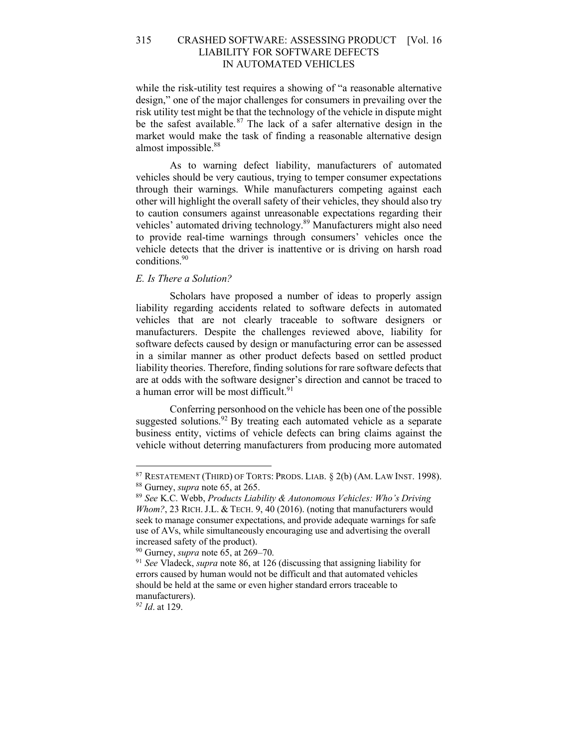while the risk-utility test requires a showing of "a reasonable alternative design," one of the major challenges for consumers in prevailing over the risk utility test might be that the technology of the vehicle in dispute might be the safest available.<sup>87</sup> The lack of a safer alternative design in the market would make the task of finding a reasonable alternative design almost impossible.<sup>88</sup>

As to warning defect liability, manufacturers of automated vehicles should be very cautious, trying to temper consumer expectations through their warnings. While manufacturers competing against each other will highlight the overall safety of their vehicles, they should also try to caution consumers against unreasonable expectations regarding their vehicles' automated driving technology. <sup>89</sup> Manufacturers might also need to provide real-time warnings through consumers' vehicles once the vehicle detects that the driver is inattentive or is driving on harsh road conditions. 90

## *E. Is There a Solution?*

Scholars have proposed a number of ideas to properly assign liability regarding accidents related to software defects in automated vehicles that are not clearly traceable to software designers or manufacturers. Despite the challenges reviewed above, liability for software defects caused by design or manufacturing error can be assessed in a similar manner as other product defects based on settled product liability theories. Therefore, finding solutions for rare software defects that are at odds with the software designer's direction and cannot be traced to a human error will be most difficult.<sup>91</sup>

Conferring personhood on the vehicle has been one of the possible suggested solutions.  $92$  By treating each automated vehicle as a separate business entity, victims of vehicle defects can bring claims against the vehicle without deterring manufacturers from producing more automated

*<sup>92</sup> Id*. at 129.

<sup>87</sup> RESTATEMENT (THIRD) OF TORTS: PRODS. LIAB. § 2(b) (AM. LAW INST. 1998). 88 Gurney, *supra* note 65, at 265.

<sup>89</sup> *See* K.C. Webb, *Products Liability & Autonomous Vehicles: Who's Driving*  Whom?, 23 RICH. J.L. & TECH. 9, 40 (2016). (noting that manufacturers would seek to manage consumer expectations, and provide adequate warnings for safe use of AVs, while simultaneously encouraging use and advertising the overall

increased safety of the product).<br><sup>90</sup> Gurney, *supra* note 65, at 269–70.

<sup>&</sup>lt;sup>91</sup> See Vladeck, *supra* note 86, at 126 (discussing that assigning liability for errors caused by human would not be difficult and that automated vehicles should be held at the same or even higher standard errors traceable to manufacturers).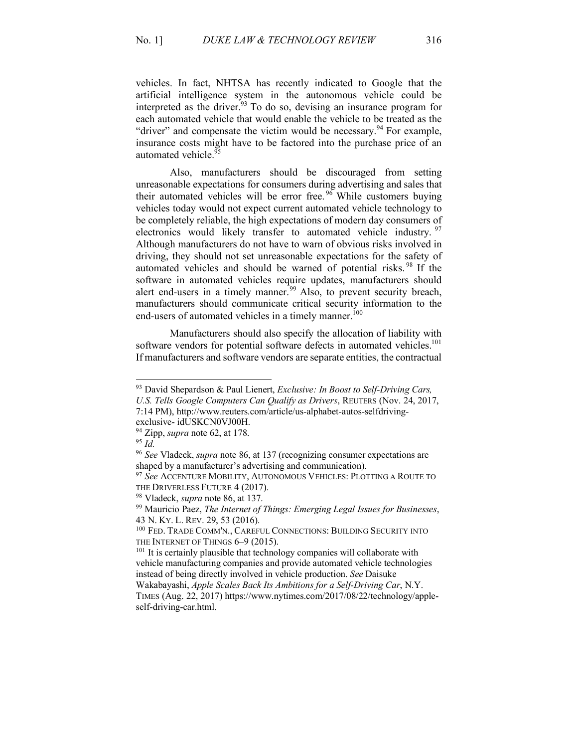vehicles. In fact, NHTSA has recently indicated to Google that the artificial intelligence system in the autonomous vehicle could be interpreted as the driver.<sup>93</sup> To do so, devising an insurance program for each automated vehicle that would enable the vehicle to be treated as the "driver" and compensate the victim would be necessary.<sup>94</sup> For example, insurance costs might have to be factored into the purchase price of an automated vehicle.<sup>95</sup>

Also, manufacturers should be discouraged from setting unreasonable expectations for consumers during advertising and sales that their automated vehicles will be error free.  $96$  While customers buying vehicles today would not expect current automated vehicle technology to be completely reliable, the high expectations of modern day consumers of electronics would likely transfer to automated vehicle industry. <sup>97</sup> Although manufacturers do not have to warn of obvious risks involved in driving, they should not set unreasonable expectations for the safety of automated vehicles and should be warned of potential risks. <sup>98</sup> If the software in automated vehicles require updates, manufacturers should alert end-users in a timely manner.<sup>99</sup> Also, to prevent security breach, manufacturers should communicate critical security information to the end-users of automated vehicles in a timely manner.<sup>100</sup>

Manufacturers should also specify the allocation of liability with software vendors for potential software defects in automated vehicles.<sup>101</sup> If manufacturers and software vendors are separate entities, the contractual

 <sup>93</sup> David Shepardson & Paul Lienert, *Exclusive: In Boost to Self-Driving Cars,* 

*U.S. Tells Google Computers Can Qualify as Drivers*, REUTERS (Nov. 24, 2017, 7:14 PM), http://www.reuters.com/article/us-alphabet-autos-selfdriving-

exclusive- idUSKCN0VJ00H.

<sup>94</sup> Zipp, *supra* note 62, at 178.

<sup>95</sup> *Id.*

<sup>96</sup> *See* Vladeck, *supra* note 86, at 137 (recognizing consumer expectations are shaped by a manufacturer's advertising and communication).

<sup>97</sup> *See* ACCENTURE MOBILITY, AUTONOMOUS VEHICLES: PLOTTING A ROUTE TO THE DRIVERLESS FUTURE 4 (2017).

<sup>98</sup> Vladeck, *supra* note 86, at 137.

<sup>99</sup> Mauricio Paez, *The Internet of Things: Emerging Legal Issues for Businesses*, 43 N. KY. L. REV. 29, 53 (2016).

<sup>100</sup> FED. TRADE COMM'N., CAREFUL CONNECTIONS: BUILDING SECURITY INTO THE INTERNET OF THINGS 6-9 (2015).

 $101$  It is certainly plausible that technology companies will collaborate with vehicle manufacturing companies and provide automated vehicle technologies instead of being directly involved in vehicle production. *See* Daisuke Wakabayashi, *Apple Scales Back Its Ambitions for a Self-Driving Car*, N.Y.

TIMES (Aug. 22, 2017) https://www.nytimes.com/2017/08/22/technology/appleself-driving-car.html.